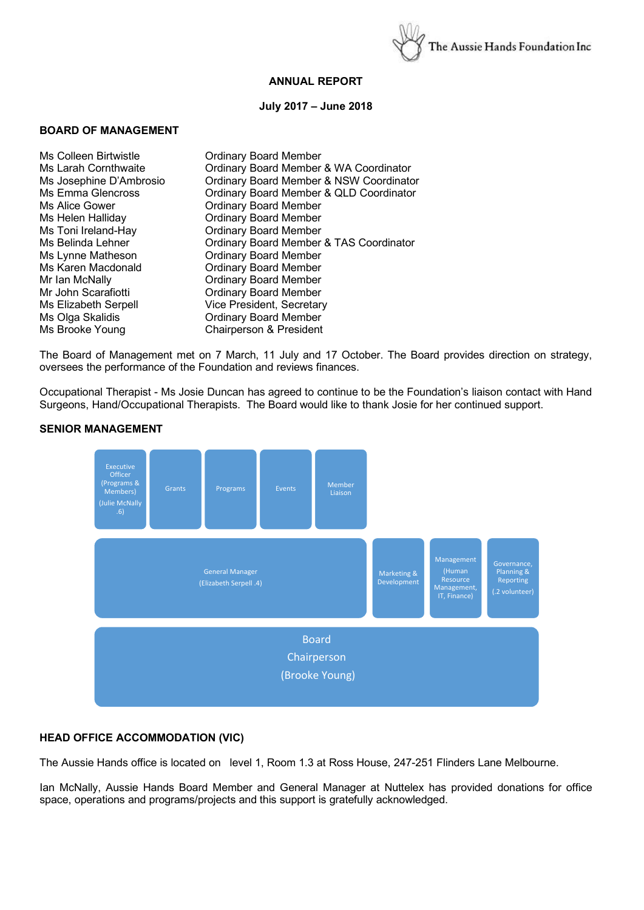

# **ANNUAL REPORT**

## **July 2017 – June 2018**

#### **BOARD OF MANAGEMENT**

| Ms Colleen Birtwistle       | <b>Ordinary Board Member</b>            |
|-----------------------------|-----------------------------------------|
| Ms Larah Cornthwaite        | Ordinary Board Member & WA Coordinator  |
| Ms Josephine D'Ambrosio     | Ordinary Board Member & NSW Coordinator |
| Ms Emma Glencross           | Ordinary Board Member & QLD Coordinator |
| Ms Alice Gower              | <b>Ordinary Board Member</b>            |
| Ms Helen Halliday           | <b>Ordinary Board Member</b>            |
| Ms Toni Ireland-Hay         | <b>Ordinary Board Member</b>            |
| Ms Belinda Lehner           | Ordinary Board Member & TAS Coordinator |
| Ms Lynne Matheson           | <b>Ordinary Board Member</b>            |
| Ms Karen Macdonald          | <b>Ordinary Board Member</b>            |
| Mr Ian McNally              | <b>Ordinary Board Member</b>            |
| Mr John Scarafiotti         | <b>Ordinary Board Member</b>            |
| <b>Ms Elizabeth Serpell</b> | Vice President, Secretary               |
| Ms Olga Skalidis            | <b>Ordinary Board Member</b>            |
| Ms Brooke Young             | Chairperson & President                 |
|                             |                                         |

The Board of Management met on 7 March, 11 July and 17 October. The Board provides direction on strategy, oversees the performance of the Foundation and reviews finances.

Occupational Therapist - Ms Josie Duncan has agreed to continue to be the Foundation's liaison contact with Hand Surgeons, Hand/Occupational Therapists. The Board would like to thank Josie for her continued support.



#### **SENIOR MANAGEMENT**

# **HEAD OFFICE ACCOMMODATION (VIC)**

The Aussie Hands office is located on level 1, Room 1.3 at Ross House, 247-251 Flinders Lane Melbourne.

Ian McNally, Aussie Hands Board Member and General Manager at Nuttelex has provided donations for office space, operations and programs/projects and this support is gratefully acknowledged.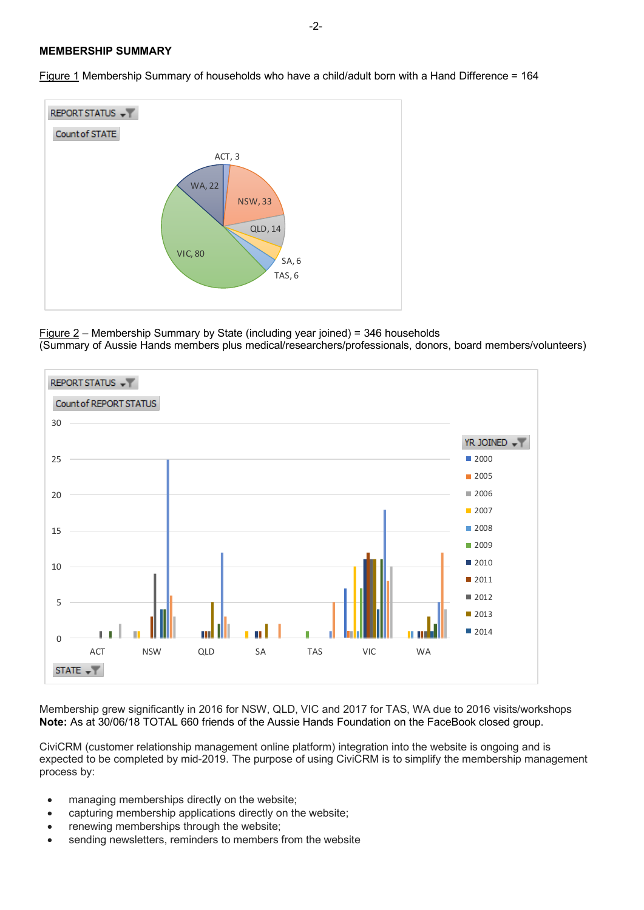## **MEMBERSHIP SUMMARY**



Figure 1 Membership Summary of households who have a child/adult born with a Hand Difference = 164

Figure 2 – Membership Summary by State (including year joined) = 346 households (Summary of Aussie Hands members plus medical/researchers/professionals, donors, board members/volunteers)



Membership grew significantly in 2016 for NSW, QLD, VIC and 2017 for TAS, WA due to 2016 visits/workshops **Note:** As at 30/06/18 TOTAL 660 friends of the Aussie Hands Foundation on the FaceBook closed group.

CiviCRM (customer relationship management online platform) integration into the website is ongoing and is expected to be completed by mid-2019. The purpose of using CiviCRM is to simplify the membership management process by:

- managing memberships directly on the website;
- capturing membership applications directly on the website;
- renewing memberships through the website;
- sending newsletters, reminders to members from the website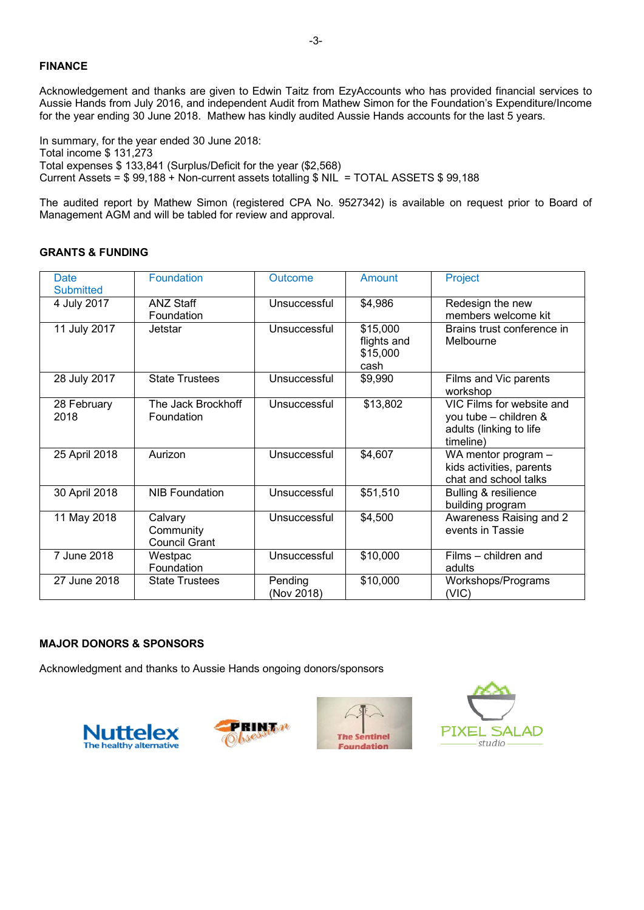Acknowledgement and thanks are given to Edwin Taitz from EzyAccounts who has provided financial services to Aussie Hands from July 2016, and independent Audit from Mathew Simon for the Foundation's Expenditure/Income for the year ending 30 June 2018. Mathew has kindly audited Aussie Hands accounts for the last 5 years.

In summary, for the year ended 30 June 2018: Total income \$ 131,273 Total expenses \$ 133,841 (Surplus/Deficit for the year (\$2,568) Current Assets =  $$99,188$  + Non-current assets totalling  $$ NIL$  = TOTAL ASSETS  $$99,188$ 

The audited report by Mathew Simon (registered CPA No. 9527342) is available on request prior to Board of Management AGM and will be tabled for review and approval.

## **GRANTS & FUNDING**

| Date<br><b>Submitted</b> | <b>Foundation</b>                            | Outcome               | Amount                                      | Project                                                                                    |  |
|--------------------------|----------------------------------------------|-----------------------|---------------------------------------------|--------------------------------------------------------------------------------------------|--|
| 4 July 2017              | <b>ANZ Staff</b><br>Foundation               | Unsuccessful          | \$4,986                                     | Redesign the new<br>members welcome kit                                                    |  |
| 11 July 2017             | Jetstar                                      | Unsuccessful          | \$15,000<br>flights and<br>\$15,000<br>cash | Brains trust conference in<br>Melbourne                                                    |  |
| 28 July 2017             | <b>State Trustees</b>                        | Unsuccessful          | \$9,990                                     | Films and Vic parents<br>workshop                                                          |  |
| 28 February<br>2018      | The Jack Brockhoff<br>Foundation             | Unsuccessful          | \$13,802                                    | VIC Films for website and<br>you tube - children &<br>adults (linking to life<br>timeline) |  |
| 25 April 2018            | Aurizon                                      | Unsuccessful          | \$4,607                                     | WA mentor program -<br>kids activities, parents<br>chat and school talks                   |  |
| 30 April 2018            | <b>NIB Foundation</b>                        | Unsuccessful          | \$51,510                                    | Bulling & resilience<br>building program                                                   |  |
| 11 May 2018              | Calvary<br>Community<br><b>Council Grant</b> | Unsuccessful          | \$4,500                                     | Awareness Raising and 2<br>events in Tassie                                                |  |
| 7 June 2018              | Westpac<br>Foundation                        | Unsuccessful          | \$10,000                                    | Films – children and<br>adults                                                             |  |
| 27 June 2018             | <b>State Trustees</b>                        | Pending<br>(Nov 2018) | \$10,000                                    | Workshops/Programs<br>(VIC)                                                                |  |

### **MAJOR DONORS & SPONSORS**

Acknowledgment and thanks to Aussie Hands ongoing donors/sponsors







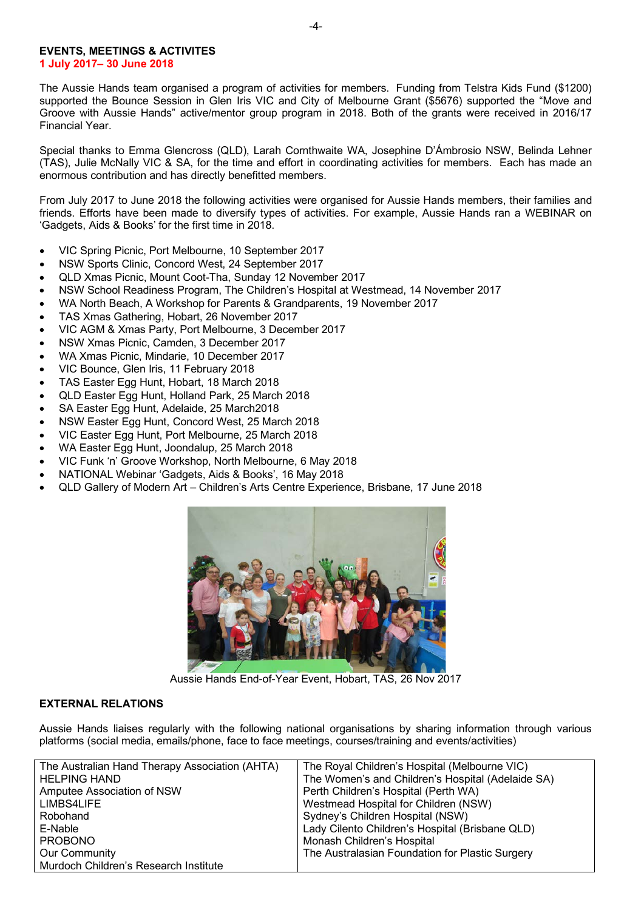### **EVENTS, MEETINGS & ACTIVITES 1 July 2017– 30 June 2018**

The Aussie Hands team organised a program of activities for members. Funding from Telstra Kids Fund (\$1200) supported the Bounce Session in Glen Iris VIC and City of Melbourne Grant (\$5676) supported the "Move and Groove with Aussie Hands" active/mentor group program in 2018. Both of the grants were received in 2016/17 Financial Year.

Special thanks to Emma Glencross (QLD), Larah Cornthwaite WA, Josephine D'Ámbrosio NSW, Belinda Lehner (TAS), Julie McNally VIC & SA, for the time and effort in coordinating activities for members. Each has made an enormous contribution and has directly benefitted members.

From July 2017 to June 2018 the following activities were organised for Aussie Hands members, their families and friends. Efforts have been made to diversify types of activities. For example, Aussie Hands ran a WEBINAR on 'Gadgets, Aids & Books' for the first time in 2018.

- VIC Spring Picnic, Port Melbourne, 10 September 2017
- NSW Sports Clinic, Concord West, 24 September 2017
- QLD Xmas Picnic, Mount Coot-Tha, Sunday 12 November 2017
- NSW School Readiness Program, The Children's Hospital at Westmead, 14 November 2017
- WA North Beach, A Workshop for Parents & Grandparents, 19 November 2017
- TAS Xmas Gathering, Hobart, 26 November 2017
- VIC AGM & Xmas Party, Port Melbourne, 3 December 2017
- NSW Xmas Picnic, Camden, 3 December 2017
- WA Xmas Picnic, Mindarie, 10 December 2017
- VIC Bounce, Glen Iris, 11 February 2018
- TAS Easter Egg Hunt, Hobart, 18 March 2018
- QLD Easter Egg Hunt, Holland Park, 25 March 2018
- SA Easter Egg Hunt, Adelaide, 25 March2018
- NSW Easter Egg Hunt, Concord West, 25 March 2018
- VIC Easter Egg Hunt, Port Melbourne, 25 March 2018
- WA Easter Egg Hunt, Joondalup, 25 March 2018
- VIC Funk 'n' Groove Workshop, North Melbourne, 6 May 2018
- NATIONAL Webinar 'Gadgets, Aids & Books', 16 May 2018
- QLD Gallery of Modern Art Children's Arts Centre Experience, Brisbane, 17 June 2018



Aussie Hands End-of-Year Event, Hobart, TAS, 26 Nov 2017

### **EXTERNAL RELATIONS**

Aussie Hands liaises regularly with the following national organisations by sharing information through various platforms (social media, emails/phone, face to face meetings, courses/training and events/activities)

| The Australian Hand Therapy Association (AHTA) | The Royal Children's Hospital (Melbourne VIC)     |
|------------------------------------------------|---------------------------------------------------|
| <b>HELPING HAND</b>                            | The Women's and Children's Hospital (Adelaide SA) |
| Amputee Association of NSW                     | Perth Children's Hospital (Perth WA)              |
| LIMBS4LIFE                                     | Westmead Hospital for Children (NSW)              |
| Robohand                                       | Sydney's Children Hospital (NSW)                  |
| E-Nable                                        | Lady Cilento Children's Hospital (Brisbane QLD)   |
| <b>PROBONO</b>                                 | Monash Children's Hospital                        |
| Our Community                                  | The Australasian Foundation for Plastic Surgery   |
| Murdoch Children's Research Institute          |                                                   |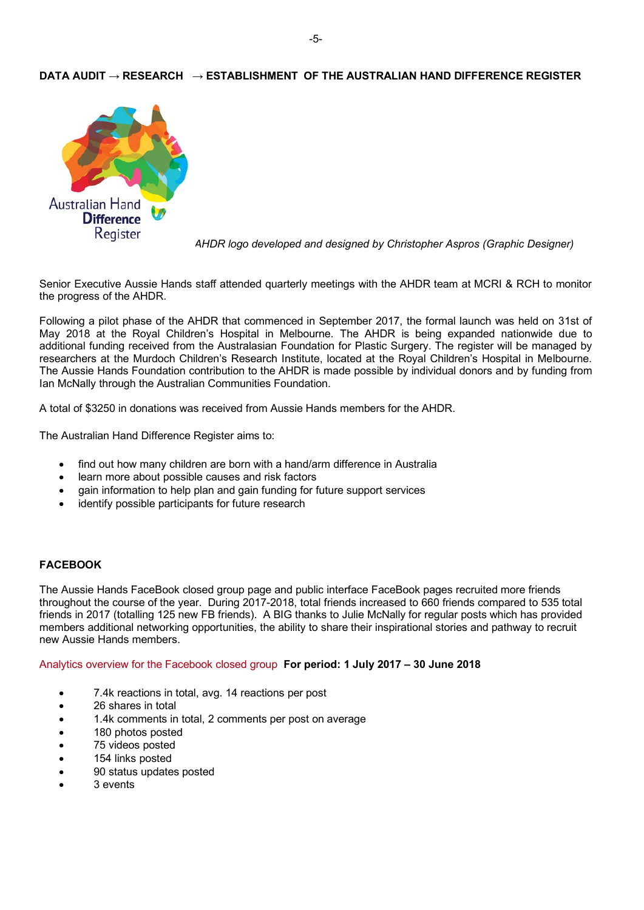## **DATA AUDIT → RESEARCH → ESTABLISHMENT OF THE AUSTRALIAN HAND DIFFERENCE REGISTER**



*AHDR logo developed and designed by Christopher Aspros (Graphic Designer)*

Senior Executive Aussie Hands staff attended quarterly meetings with the AHDR team at MCRI & RCH to monitor the progress of the AHDR.

Following a pilot phase of the AHDR that commenced in September 2017, the formal launch was held on 31st of May 2018 at the Royal Children's Hospital in Melbourne. The AHDR is being expanded nationwide due to additional funding received from the Australasian Foundation for Plastic Surgery. The register will be managed by researchers at the Murdoch Children's Research Institute, located at the Royal Children's Hospital in Melbourne. The Aussie Hands Foundation contribution to the AHDR is made possible by individual donors and by funding from Ian McNally through the Australian Communities Foundation.

A total of \$3250 in donations was received from Aussie Hands members for the AHDR.

The Australian Hand Difference Register aims to:

- find out how many children are born with a hand/arm difference in Australia
- learn more about possible causes and risk factors
- gain information to help plan and gain funding for future support services
- identify possible participants for future research

### **FACEBOOK**

The Aussie Hands FaceBook closed group page and public interface FaceBook pages recruited more friends throughout the course of the year. During 2017-2018, total friends increased to 660 friends compared to 535 total friends in 2017 (totalling 125 new FB friends). A BIG thanks to Julie McNally for regular posts which has provided members additional networking opportunities, the ability to share their inspirational stories and pathway to recruit new Aussie Hands members.

Analytics overview for the Facebook closed group **For period: 1 July 2017 – 30 June 2018**

- 7.4k reactions in total, avg. 14 reactions per post
- 26 shares in total
- 1.4k comments in total, 2 comments per post on average
- 180 photos posted
- 75 videos posted
- 154 links posted
- 90 status updates posted
- 3 events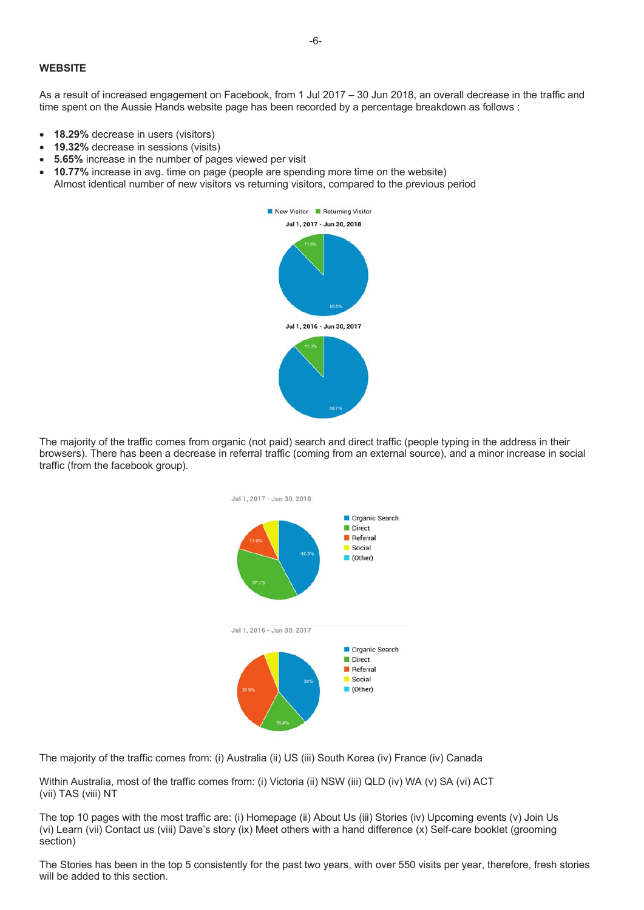#### **WEBSITE**

As a result of increased engagement on Facebook, from 1 Jul 2017 – 30 Jun 2018, an overall decrease in the traffic and time spent on the Aussie Hands website page has been recorded by a percentage breakdown as follows :

- **18.29%** decrease in users (visitors)
- **19.32%** decrease in sessions (visits)
- **5.65%** increase in the number of pages viewed per visit
- **10.77%** increase in avg. time on page (people are spending more time on the website) Almost identical number of new visitors vs returning visitors, compared to the previous period



The majority of the traffic comes from organic (not paid) search and direct traffic (people typing in the address in their browsers). There has been a decrease in referral traffic (coming from an external source), and a minor increase in social traffic (from the facebook group).



The majority of the traffic comes from: (i) Australia (ii) US (iii) South Korea (iv) France (iv) Canada

Within Australia, most of the traffic comes from: (i) Victoria (ii) NSW (iii) QLD (iv) WA (v) SA (vi) ACT (vii) TAS (viii) NT

The top 10 pages with the most traffic are: (i) Homepage (ii) About Us (iii) Stories (iv) Upcoming events (v) Join Us (vi) Learn (vii) Contact us (viii) Dave's story (ix) Meet others with a hand difference (x) Self-care booklet (grooming section)

The Stories has been in the top 5 consistently for the past two years, with over 550 visits per year, therefore, fresh stories will be added to this section.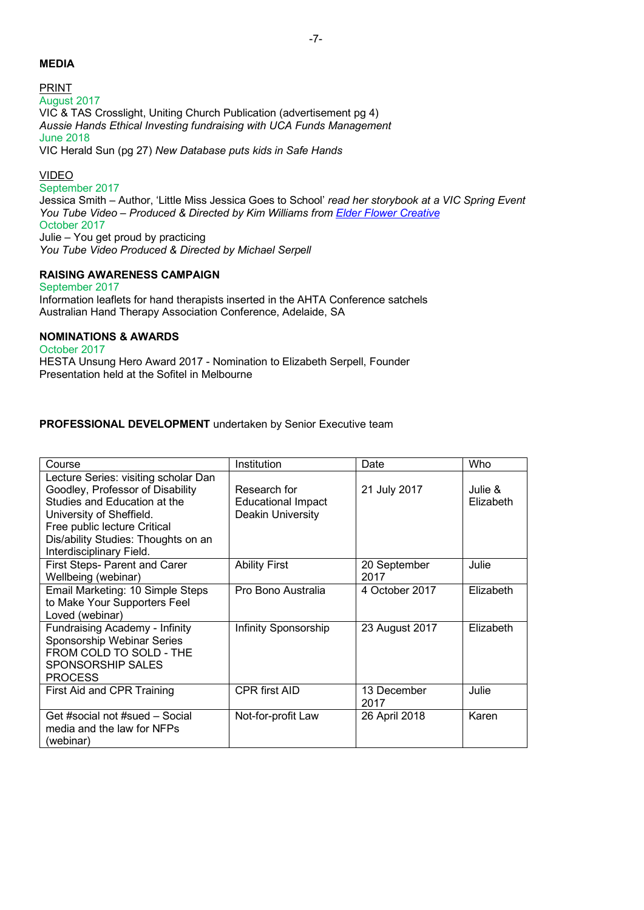## **MEDIA**

PRINT August 2017 VIC & TAS Crosslight, Uniting Church Publication (advertisement pg 4) *Aussie Hands Ethical Investing fundraising with UCA Funds Management* June 2018 VIC Herald Sun (pg 27) *New Database puts kids in Safe Hands*

## VIDEO

September 2017 Jessica Smith – Author, 'Little Miss Jessica Goes to School' *read her storybook at a VIC Spring Event You Tube Video – Produced & Directed by Kim Williams from Elder Flower Creative* October 2017 Julie – You get proud by practicing *You Tube Video Produced & Directed by Michael Serpell*

## **RAISING AWARENESS CAMPAIGN**

September 2017 Information leaflets for hand therapists inserted in the AHTA Conference satchels Australian Hand Therapy Association Conference, Adelaide, SA

## **NOMINATIONS & AWARDS**

October 2017 HESTA Unsung Hero Award 2017 - Nomination to Elizabeth Serpell, Founder Presentation held at the Sofitel in Melbourne

# **PROFESSIONAL DEVELOPMENT** undertaken by Senior Executive team

| Course                                                                                                                                                                                                                                  | Institution                                                    | Date                 | <b>Who</b>           |
|-----------------------------------------------------------------------------------------------------------------------------------------------------------------------------------------------------------------------------------------|----------------------------------------------------------------|----------------------|----------------------|
| Lecture Series: visiting scholar Dan<br>Goodley, Professor of Disability<br>Studies and Education at the<br>University of Sheffield.<br>Free public lecture Critical<br>Dis/ability Studies: Thoughts on an<br>Interdisciplinary Field. | Research for<br><b>Educational Impact</b><br>Deakin University | 21 July 2017         | Julie &<br>Elizabeth |
| First Steps- Parent and Carer<br>Wellbeing (webinar)                                                                                                                                                                                    | <b>Ability First</b>                                           | 20 September<br>2017 | Julie                |
| Email Marketing: 10 Simple Steps<br>to Make Your Supporters Feel<br>Loved (webinar)                                                                                                                                                     | Pro Bono Australia                                             | 4 October 2017       | Elizabeth            |
| Fundraising Academy - Infinity<br>Sponsorship Webinar Series<br>FROM COLD TO SOLD - THE<br><b>SPONSORSHIP SALES</b><br><b>PROCESS</b>                                                                                                   | Infinity Sponsorship                                           | 23 August 2017       | Elizabeth            |
| First Aid and CPR Training                                                                                                                                                                                                              | <b>CPR</b> first AID                                           | 13 December<br>2017  | Julie                |
| Get #social not #sued - Social<br>media and the law for NFPs<br>(webinar)                                                                                                                                                               | Not-for-profit Law                                             | 26 April 2018        | Karen                |